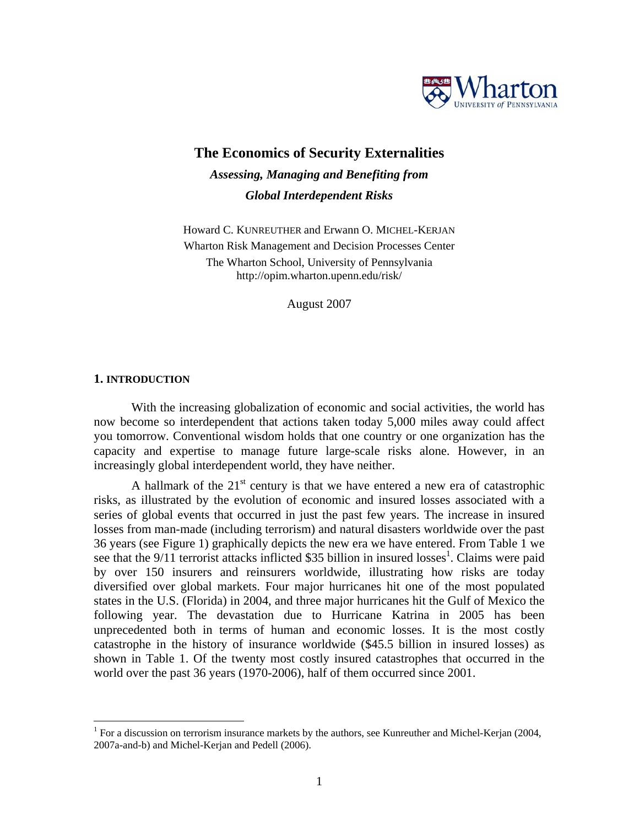

# **The Economics of Security Externalities**

*Assessing, Managing and Benefiting from Global Interdependent Risks* 

Howard C. KUNREUTHER and Erwann O. MICHEL-KERJAN Wharton Risk Management and Decision Processes Center The Wharton School, University of Pennsylvania http://opim.wharton.upenn.edu/risk/

August 2007

### **1. INTRODUCTION**

 $\overline{a}$ 

With the increasing globalization of economic and social activities, the world has now become so interdependent that actions taken today 5,000 miles away could affect you tomorrow. Conventional wisdom holds that one country or one organization has the capacity and expertise to manage future large-scale risks alone. However, in an increasingly global interdependent world, they have neither.

A hallmark of the  $21<sup>st</sup>$  century is that we have entered a new era of catastrophic risks, as illustrated by the evolution of economic and insured losses associated with a series of global events that occurred in just the past few years. The increase in insured losses from man-made (including terrorism) and natural disasters worldwide over the past 36 years (see Figure 1) graphically depicts the new era we have entered. From Table 1 we see that the 9/11 terrorist attacks inflicted \$35 billion in insured losses<sup>1</sup>. Claims were paid by over 150 insurers and reinsurers worldwide, illustrating how risks are today diversified over global markets. Four major hurricanes hit one of the most populated states in the U.S. (Florida) in 2004, and three major hurricanes hit the Gulf of Mexico the following year. The devastation due to Hurricane Katrina in 2005 has been unprecedented both in terms of human and economic losses. It is the most costly catastrophe in the history of insurance worldwide (\$45.5 billion in insured losses) as shown in Table 1. Of the twenty most costly insured catastrophes that occurred in the world over the past 36 years (1970-2006), half of them occurred since 2001.

<sup>&</sup>lt;sup>1</sup> For a discussion on terrorism insurance markets by the authors, see Kunreuther and Michel-Kerjan (2004, 2007a-and-b) and Michel-Kerjan and Pedell (2006).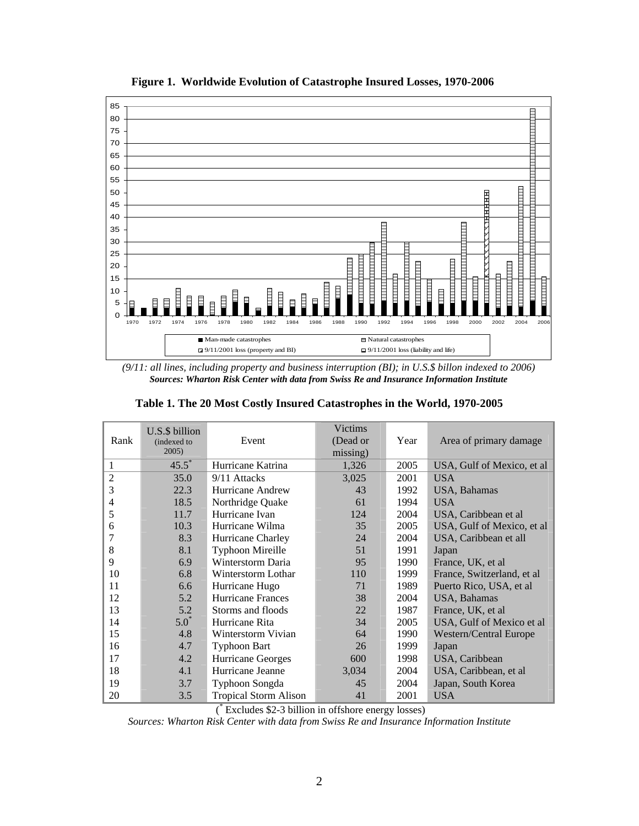

**Figure 1. Worldwide Evolution of Catastrophe Insured Losses, 1970-2006** 

*(9/11: all lines, including property and business interruption (BI); in U.S.\$ billon indexed to 2006) Sources: Wharton Risk Center with data from Swiss Re and Insurance Information Institute* 

|                | U.S.\$ billion |                              | <b>Victims</b> |      |                             |
|----------------|----------------|------------------------------|----------------|------|-----------------------------|
| Rank           | (indexed to    | Event                        | (Dead or       | Year | Area of primary damage      |
|                | $2005$ )       |                              | missing)       |      |                             |
| 1              | $45.5^*$       | Hurricane Katrina            | 1,326          | 2005 | USA, Gulf of Mexico, et al  |
| $\overline{2}$ | 35.0           | 9/11 Attacks                 | 3,025          | 2001 | <b>USA</b>                  |
| 3              | 22.3           | Hurricane Andrew             | 43             | 1992 | USA, Bahamas                |
| 4              | 18.5           | Northridge Quake             | 61             | 1994 | <b>USA</b>                  |
| 5              | 11.7           | Hurricane Ivan               | 124            | 2004 | USA, Caribbean et al        |
| 6              | 10.3           | Hurricane Wilma              | 35             | 2005 | USA, Gulf of Mexico, et al  |
|                | 8.3            | Hurricane Charley            | 24             | 2004 | USA, Caribbean et all       |
| 8              | 8.1            | <b>Typhoon Mireille</b>      | 51             | 1991 | Japan                       |
| 9              | 6.9            | Winterstorm Daria            | 95             | 1990 | France, UK, et al           |
| 10             | 6.8            | Winterstorm Lothar           | 110            | 1999 | France, Switzerland, et al. |
| 11             | 6.6            | Hurricane Hugo               | 71             | 1989 | Puerto Rico, USA, et al     |
| 12             | 5.2            | Hurricane Frances            | 38             | 2004 | USA, Bahamas                |
| 13             | 5.2            | Storms and floods            | 22             | 1987 | France, UK, et al           |
| 14             | $5.0^*$        | Hurricane Rita               | 34             | 2005 | USA, Gulf of Mexico et al   |
| 15             | 4.8            | Winterstorm Vivian           | 64             | 1990 | Western/Central Europe      |
| 16             | 4.7            | <b>Typhoon Bart</b>          | 26             | 1999 | Japan                       |
| 17             | 4.2            | Hurricane Georges            | 600            | 1998 | USA, Caribbean              |
| 18             | 4.1            | Hurricane Jeanne             | 3,034          | 2004 | USA, Caribbean, et al       |
| 19             | 3.7            | Typhoon Songda               | 45             | 2004 | Japan, South Korea          |
| 20             | 3.5            | <b>Tropical Storm Alison</b> | 41             | 2001 | <b>USA</b>                  |

**Table 1. The 20 Most Costly Insured Catastrophes in the World, 1970-2005** 

(*\** Excludes \$2-3 billion in offshore energy losses)

*Sources: Wharton Risk Center with data from Swiss Re and Insurance Information Institute*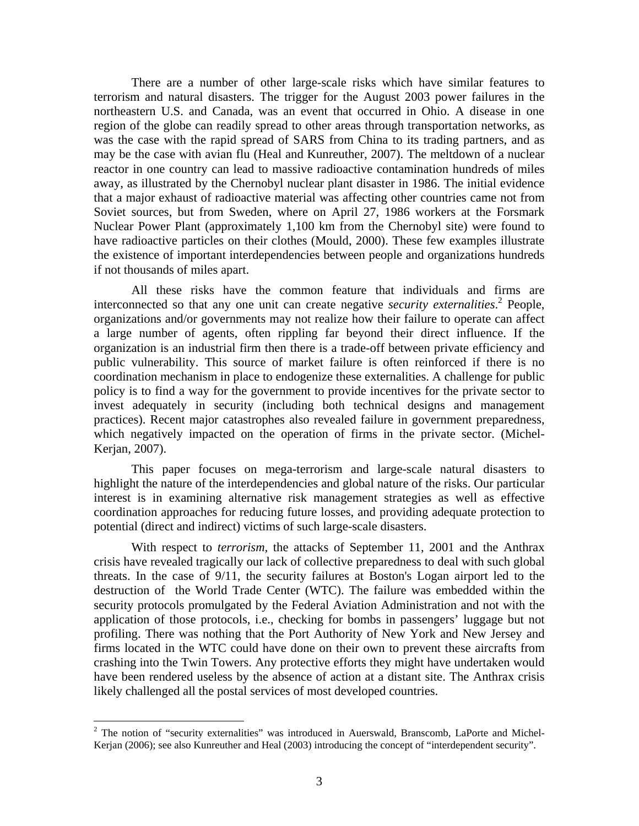There are a number of other large-scale risks which have similar features to terrorism and natural disasters. The trigger for the August 2003 power failures in the northeastern U.S. and Canada, was an event that occurred in Ohio. A disease in one region of the globe can readily spread to other areas through transportation networks, as was the case with the rapid spread of SARS from China to its trading partners, and as may be the case with avian flu (Heal and Kunreuther, 2007). The meltdown of a nuclear reactor in one country can lead to massive radioactive contamination hundreds of miles away, as illustrated by the Chernobyl nuclear plant disaster in 1986. The initial evidence that a major exhaust of radioactive material was affecting other countries came not from Soviet sources, but from Sweden, where on April 27, 1986 workers at the Forsmark Nuclear Power Plant (approximately 1,100 km from the Chernobyl site) were found to have radioactive particles on their clothes (Mould, 2000). These few examples illustrate the existence of important interdependencies between people and organizations hundreds if not thousands of miles apart.

All these risks have the common feature that individuals and firms are interconnected so that any one unit can create negative *security externalities*. 2 People, organizations and/or governments may not realize how their failure to operate can affect a large number of agents, often rippling far beyond their direct influence. If the organization is an industrial firm then there is a trade-off between private efficiency and public vulnerability. This source of market failure is often reinforced if there is no coordination mechanism in place to endogenize these externalities. A challenge for public policy is to find a way for the government to provide incentives for the private sector to invest adequately in security (including both technical designs and management practices). Recent major catastrophes also revealed failure in government preparedness, which negatively impacted on the operation of firms in the private sector. (Michel-Kerjan, 2007).

This paper focuses on mega-terrorism and large-scale natural disasters to highlight the nature of the interdependencies and global nature of the risks. Our particular interest is in examining alternative risk management strategies as well as effective coordination approaches for reducing future losses, and providing adequate protection to potential (direct and indirect) victims of such large-scale disasters.

With respect to *terrorism,* the attacks of September 11, 2001 and the Anthrax crisis have revealed tragically our lack of collective preparedness to deal with such global threats. In the case of 9/11, the security failures at Boston's Logan airport led to the destruction of the World Trade Center (WTC). The failure was embedded within the security protocols promulgated by the Federal Aviation Administration and not with the application of those protocols, i.e., checking for bombs in passengers' luggage but not profiling. There was nothing that the Port Authority of New York and New Jersey and firms located in the WTC could have done on their own to prevent these aircrafts from crashing into the Twin Towers. Any protective efforts they might have undertaken would have been rendered useless by the absence of action at a distant site. The Anthrax crisis likely challenged all the postal services of most developed countries.

 $\overline{a}$ 

<sup>&</sup>lt;sup>2</sup> The notion of "security externalities" was introduced in Auerswald, Branscomb, LaPorte and Michel-Kerjan (2006); see also Kunreuther and Heal (2003) introducing the concept of "interdependent security".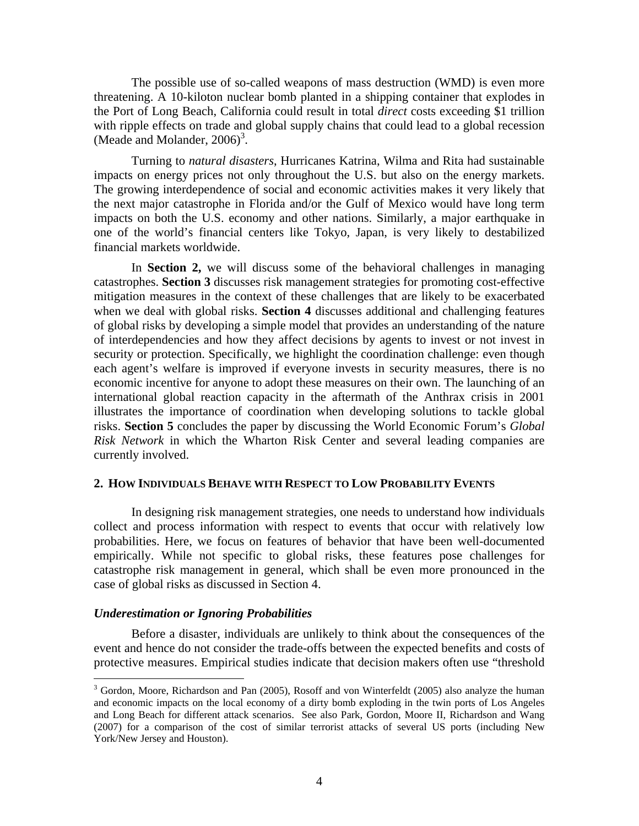The possible use of so-called weapons of mass destruction (WMD) is even more threatening. A 10-kiloton nuclear bomb planted in a shipping container that explodes in the Port of Long Beach, California could result in total *direct* costs exceeding \$1 trillion with ripple effects on trade and global supply chains that could lead to a global recession (Meade and Molander,  $2006$ )<sup>3</sup>.

 Turning to *natural disasters*, Hurricanes Katrina, Wilma and Rita had sustainable impacts on energy prices not only throughout the U.S. but also on the energy markets. The growing interdependence of social and economic activities makes it very likely that the next major catastrophe in Florida and/or the Gulf of Mexico would have long term impacts on both the U.S. economy and other nations. Similarly, a major earthquake in one of the world's financial centers like Tokyo, Japan, is very likely to destabilized financial markets worldwide.

In **Section 2,** we will discuss some of the behavioral challenges in managing catastrophes. **Section 3** discusses risk management strategies for promoting cost-effective mitigation measures in the context of these challenges that are likely to be exacerbated when we deal with global risks. **Section 4** discusses additional and challenging features of global risks by developing a simple model that provides an understanding of the nature of interdependencies and how they affect decisions by agents to invest or not invest in security or protection. Specifically, we highlight the coordination challenge: even though each agent's welfare is improved if everyone invests in security measures, there is no economic incentive for anyone to adopt these measures on their own. The launching of an international global reaction capacity in the aftermath of the Anthrax crisis in 2001 illustrates the importance of coordination when developing solutions to tackle global risks. **Section 5** concludes the paper by discussing the World Economic Forum's *Global Risk Network* in which the Wharton Risk Center and several leading companies are currently involved.

### **2. HOW INDIVIDUALS BEHAVE WITH RESPECT TO LOW PROBABILITY EVENTS**

In designing risk management strategies, one needs to understand how individuals collect and process information with respect to events that occur with relatively low probabilities. Here, we focus on features of behavior that have been well-documented empirically. While not specific to global risks, these features pose challenges for catastrophe risk management in general, which shall be even more pronounced in the case of global risks as discussed in Section 4.

### *Underestimation or Ignoring Probabilities*

1

Before a disaster, individuals are unlikely to think about the consequences of the event and hence do not consider the trade-offs between the expected benefits and costs of protective measures. Empirical studies indicate that decision makers often use "threshold

<sup>&</sup>lt;sup>3</sup> Gordon, Moore, Richardson and Pan (2005), Rosoff and von Winterfeldt (2005) also analyze the human and economic impacts on the local economy of a dirty bomb exploding in the twin ports of Los Angeles and Long Beach for different attack scenarios. See also Park, Gordon, Moore II, Richardson and Wang (2007) for a comparison of the cost of similar terrorist attacks of several US ports (including New York/New Jersey and Houston).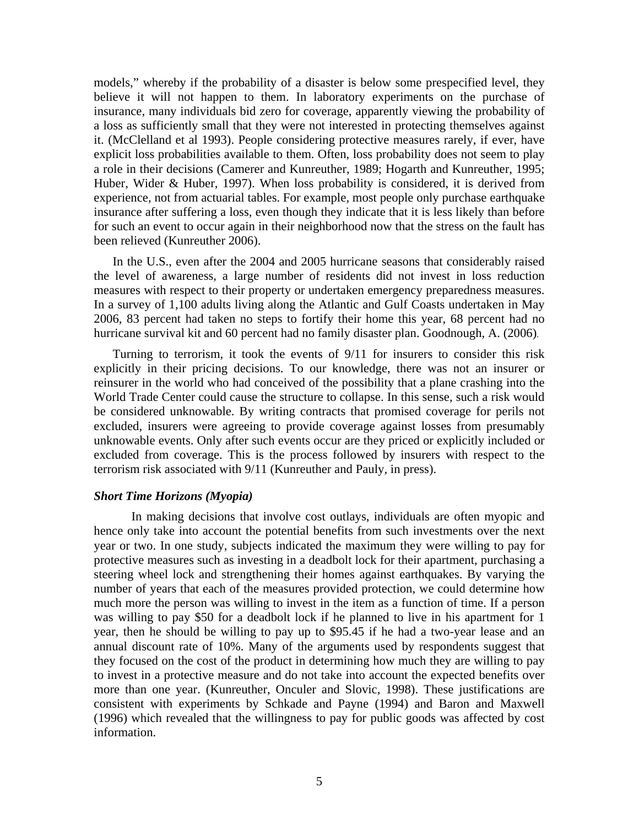models," whereby if the probability of a disaster is below some prespecified level, they believe it will not happen to them. In laboratory experiments on the purchase of insurance, many individuals bid zero for coverage, apparently viewing the probability of a loss as sufficiently small that they were not interested in protecting themselves against it. (McClelland et al 1993). People considering protective measures rarely, if ever, have explicit loss probabilities available to them. Often, loss probability does not seem to play a role in their decisions (Camerer and Kunreuther, 1989; Hogarth and Kunreuther, 1995; Huber, Wider & Huber, 1997). When loss probability is considered, it is derived from experience, not from actuarial tables. For example, most people only purchase earthquake insurance after suffering a loss, even though they indicate that it is less likely than before for such an event to occur again in their neighborhood now that the stress on the fault has been relieved (Kunreuther 2006).

In the U.S., even after the 2004 and 2005 hurricane seasons that considerably raised the level of awareness, a large number of residents did not invest in loss reduction measures with respect to their property or undertaken emergency preparedness measures. In a survey of 1,100 adults living along the Atlantic and Gulf Coasts undertaken in May 2006, 83 percent had taken no steps to fortify their home this year, 68 percent had no hurricane survival kit and 60 percent had no family disaster plan. Goodnough, A. (2006).

Turning to terrorism, it took the events of 9/11 for insurers to consider this risk explicitly in their pricing decisions. To our knowledge, there was not an insurer or reinsurer in the world who had conceived of the possibility that a plane crashing into the World Trade Center could cause the structure to collapse. In this sense, such a risk would be considered unknowable. By writing contracts that promised coverage for perils not excluded, insurers were agreeing to provide coverage against losses from presumably unknowable events. Only after such events occur are they priced or explicitly included or excluded from coverage. This is the process followed by insurers with respect to the terrorism risk associated with 9/11 (Kunreuther and Pauly, in press).

### *Short Time Horizons (Myopia)*

In making decisions that involve cost outlays, individuals are often myopic and hence only take into account the potential benefits from such investments over the next year or two. In one study, subjects indicated the maximum they were willing to pay for protective measures such as investing in a deadbolt lock for their apartment, purchasing a steering wheel lock and strengthening their homes against earthquakes. By varying the number of years that each of the measures provided protection, we could determine how much more the person was willing to invest in the item as a function of time. If a person was willing to pay \$50 for a deadbolt lock if he planned to live in his apartment for 1 year, then he should be willing to pay up to \$95.45 if he had a two-year lease and an annual discount rate of 10%. Many of the arguments used by respondents suggest that they focused on the cost of the product in determining how much they are willing to pay to invest in a protective measure and do not take into account the expected benefits over more than one year. (Kunreuther, Onculer and Slovic, 1998). These justifications are consistent with experiments by Schkade and Payne (1994) and Baron and Maxwell (1996) which revealed that the willingness to pay for public goods was affected by cost information.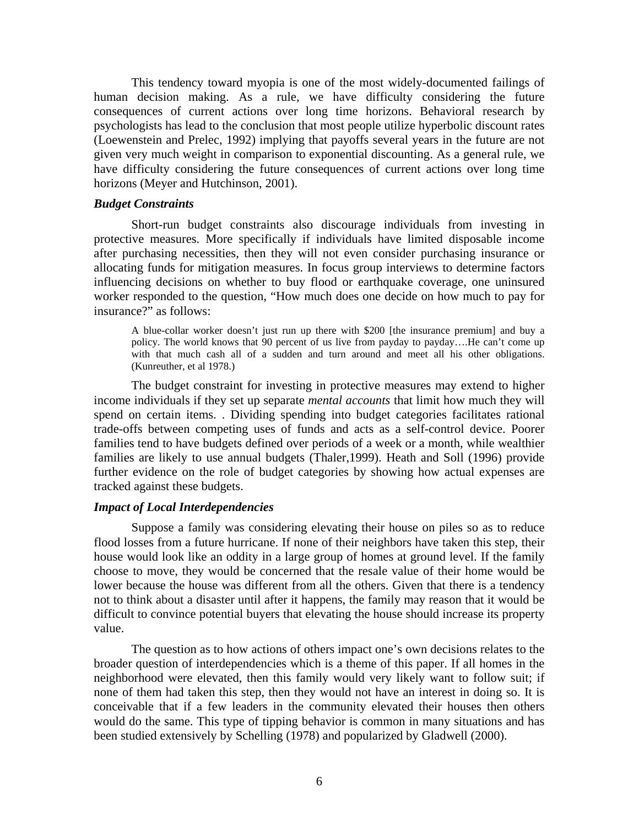This tendency toward myopia is one of the most widely-documented failings of human decision making. As a rule, we have difficulty considering the future consequences of current actions over long time horizons. Behavioral research by psychologists has lead to the conclusion that most people utilize hyperbolic discount rates (Loewenstein and Prelec, 1992) implying that payoffs several years in the future are not given very much weight in comparison to exponential discounting. As a general rule, we have difficulty considering the future consequences of current actions over long time horizons (Meyer and Hutchinson, 2001).

#### *Budget Constraints*

Short-run budget constraints also discourage individuals from investing in protective measures. More specifically if individuals have limited disposable income after purchasing necessities, then they will not even consider purchasing insurance or allocating funds for mitigation measures. In focus group interviews to determine factors influencing decisions on whether to buy flood or earthquake coverage, one uninsured worker responded to the question, "How much does one decide on how much to pay for insurance?" as follows:

A blue-collar worker doesn't just run up there with \$200 [the insurance premium] and buy a policy. The world knows that 90 percent of us live from payday to payday….He can't come up with that much cash all of a sudden and turn around and meet all his other obligations. (Kunreuther, et al 1978.)

The budget constraint for investing in protective measures may extend to higher income individuals if they set up separate *mental accounts* that limit how much they will spend on certain items. . Dividing spending into budget categories facilitates rational trade-offs between competing uses of funds and acts as a self-control device. Poorer families tend to have budgets defined over periods of a week or a month, while wealthier families are likely to use annual budgets (Thaler,1999). Heath and Soll (1996) provide further evidence on the role of budget categories by showing how actual expenses are tracked against these budgets.

#### *Impact of Local Interdependencies*

Suppose a family was considering elevating their house on piles so as to reduce flood losses from a future hurricane. If none of their neighbors have taken this step, their house would look like an oddity in a large group of homes at ground level. If the family choose to move, they would be concerned that the resale value of their home would be lower because the house was different from all the others. Given that there is a tendency not to think about a disaster until after it happens, the family may reason that it would be difficult to convince potential buyers that elevating the house should increase its property value.

The question as to how actions of others impact one's own decisions relates to the broader question of interdependencies which is a theme of this paper. If all homes in the neighborhood were elevated, then this family would very likely want to follow suit; if none of them had taken this step, then they would not have an interest in doing so. It is conceivable that if a few leaders in the community elevated their houses then others would do the same. This type of tipping behavior is common in many situations and has been studied extensively by Schelling (1978) and popularized by Gladwell (2000).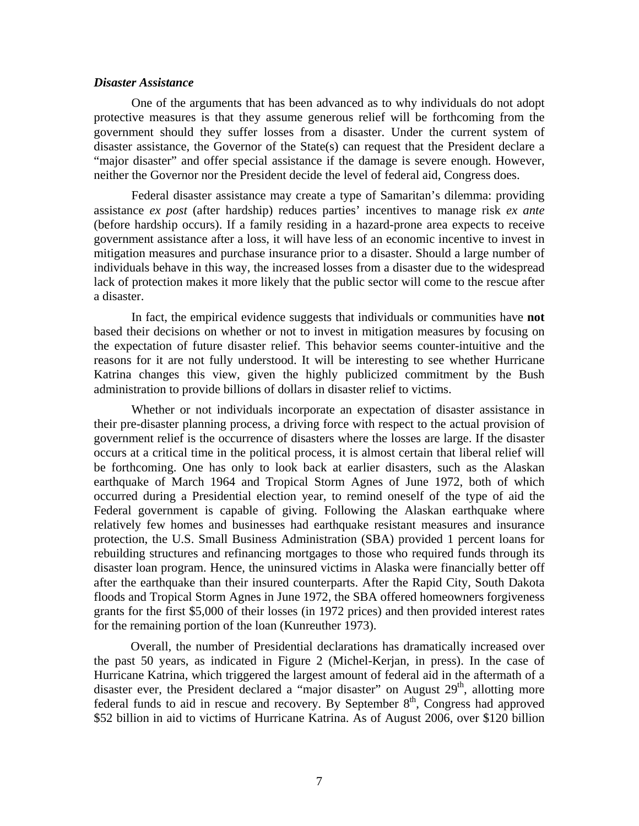#### *Disaster Assistance*

One of the arguments that has been advanced as to why individuals do not adopt protective measures is that they assume generous relief will be forthcoming from the government should they suffer losses from a disaster. Under the current system of disaster assistance, the Governor of the State(s) can request that the President declare a "major disaster" and offer special assistance if the damage is severe enough. However, neither the Governor nor the President decide the level of federal aid, Congress does.

 Federal disaster assistance may create a type of Samaritan's dilemma: providing assistance *ex post* (after hardship) reduces parties' incentives to manage risk *ex ante* (before hardship occurs). If a family residing in a hazard-prone area expects to receive government assistance after a loss, it will have less of an economic incentive to invest in mitigation measures and purchase insurance prior to a disaster. Should a large number of individuals behave in this way, the increased losses from a disaster due to the widespread lack of protection makes it more likely that the public sector will come to the rescue after a disaster.

In fact, the empirical evidence suggests that individuals or communities have **not**  based their decisions on whether or not to invest in mitigation measures by focusing on the expectation of future disaster relief. This behavior seems counter-intuitive and the reasons for it are not fully understood. It will be interesting to see whether Hurricane Katrina changes this view, given the highly publicized commitment by the Bush administration to provide billions of dollars in disaster relief to victims.

Whether or not individuals incorporate an expectation of disaster assistance in their pre-disaster planning process, a driving force with respect to the actual provision of government relief is the occurrence of disasters where the losses are large. If the disaster occurs at a critical time in the political process, it is almost certain that liberal relief will be forthcoming. One has only to look back at earlier disasters, such as the Alaskan earthquake of March 1964 and Tropical Storm Agnes of June 1972, both of which occurred during a Presidential election year, to remind oneself of the type of aid the Federal government is capable of giving. Following the Alaskan earthquake where relatively few homes and businesses had earthquake resistant measures and insurance protection, the U.S. Small Business Administration (SBA) provided 1 percent loans for rebuilding structures and refinancing mortgages to those who required funds through its disaster loan program. Hence, the uninsured victims in Alaska were financially better off after the earthquake than their insured counterparts. After the Rapid City, South Dakota floods and Tropical Storm Agnes in June 1972, the SBA offered homeowners forgiveness grants for the first \$5,000 of their losses (in 1972 prices) and then provided interest rates for the remaining portion of the loan (Kunreuther 1973).

Overall, the number of Presidential declarations has dramatically increased over the past 50 years, as indicated in Figure 2 (Michel-Kerjan, in press). In the case of Hurricane Katrina, which triggered the largest amount of federal aid in the aftermath of a disaster ever, the President declared a "major disaster" on August  $29<sup>th</sup>$ , allotting more federal funds to aid in rescue and recovery. By September  $8<sup>th</sup>$ , Congress had approved \$52 billion in aid to victims of Hurricane Katrina. As of August 2006, over \$120 billion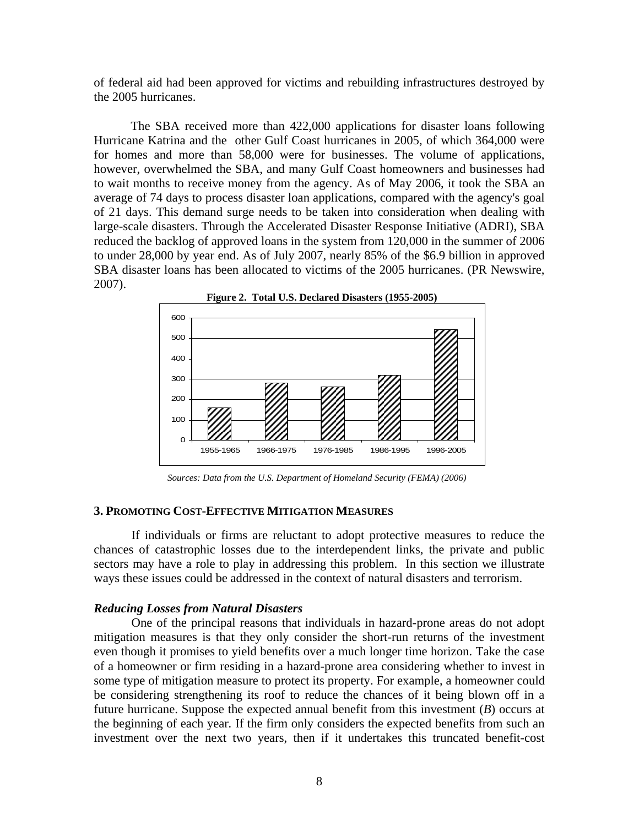of federal aid had been approved for victims and rebuilding infrastructures destroyed by the 2005 hurricanes.

The SBA received more than 422,000 applications for disaster loans following Hurricane Katrina and the other Gulf Coast hurricanes in 2005, of which 364,000 were for homes and more than 58,000 were for businesses. The volume of applications, however, overwhelmed the SBA, and many Gulf Coast homeowners and businesses had to wait months to receive money from the agency. As of May 2006, it took the SBA an average of 74 days to process disaster loan applications, compared with the agency's goal of 21 days. This demand surge needs to be taken into consideration when dealing with large-scale disasters. Through the Accelerated Disaster Response Initiative (ADRI), SBA reduced the backlog of approved loans in the system from 120,000 in the summer of 2006 to under 28,000 by year end. As of July 2007, nearly 85% of the \$6.9 billion in approved SBA disaster loans has been allocated to victims of the 2005 hurricanes. (PR Newswire, 2007).





 *Sources: Data from the U.S. Department of Homeland Security (FEMA) (2006)* 

### **3. PROMOTING COST-EFFECTIVE MITIGATION MEASURES**

If individuals or firms are reluctant to adopt protective measures to reduce the chances of catastrophic losses due to the interdependent links, the private and public sectors may have a role to play in addressing this problem. In this section we illustrate ways these issues could be addressed in the context of natural disasters and terrorism.

### *Reducing Losses from Natural Disasters*

 One of the principal reasons that individuals in hazard-prone areas do not adopt mitigation measures is that they only consider the short-run returns of the investment even though it promises to yield benefits over a much longer time horizon. Take the case of a homeowner or firm residing in a hazard-prone area considering whether to invest in some type of mitigation measure to protect its property. For example, a homeowner could be considering strengthening its roof to reduce the chances of it being blown off in a future hurricane. Suppose the expected annual benefit from this investment (*B*) occurs at the beginning of each year*.* If the firm only considers the expected benefits from such an investment over the next two years, then if it undertakes this truncated benefit-cost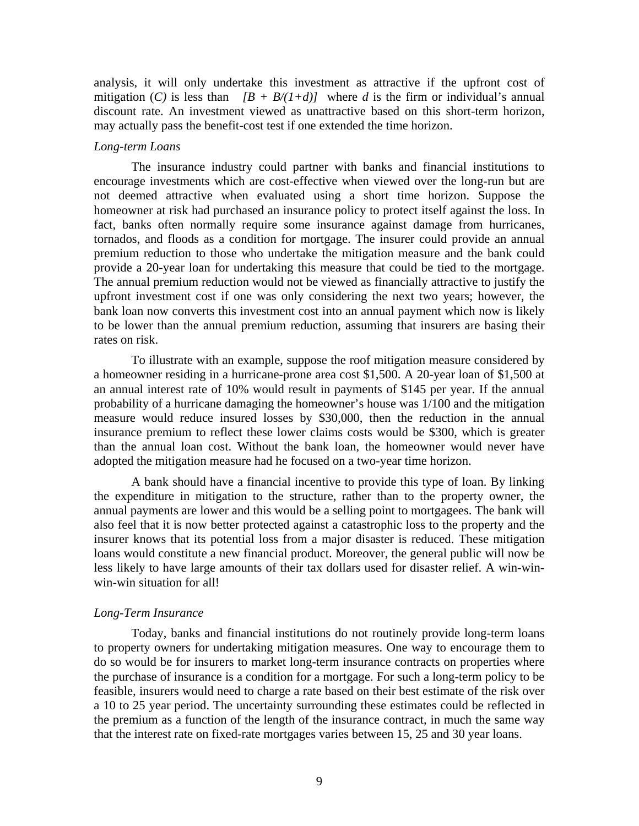analysis, it will only undertake this investment as attractive if the upfront cost of mitigation (*C*) is less than  $[B + B/(1+d)]$  where *d* is the firm or individual's annual discount rate. An investment viewed as unattractive based on this short-term horizon, may actually pass the benefit-cost test if one extended the time horizon.

### *Long-term Loans*

The insurance industry could partner with banks and financial institutions to encourage investments which are cost-effective when viewed over the long-run but are not deemed attractive when evaluated using a short time horizon. Suppose the homeowner at risk had purchased an insurance policy to protect itself against the loss. In fact, banks often normally require some insurance against damage from hurricanes, tornados, and floods as a condition for mortgage. The insurer could provide an annual premium reduction to those who undertake the mitigation measure and the bank could provide a 20-year loan for undertaking this measure that could be tied to the mortgage. The annual premium reduction would not be viewed as financially attractive to justify the upfront investment cost if one was only considering the next two years; however, the bank loan now converts this investment cost into an annual payment which now is likely to be lower than the annual premium reduction, assuming that insurers are basing their rates on risk.

To illustrate with an example, suppose the roof mitigation measure considered by a homeowner residing in a hurricane-prone area cost \$1,500. A 20-year loan of \$1,500 at an annual interest rate of 10% would result in payments of \$145 per year. If the annual probability of a hurricane damaging the homeowner's house was 1/100 and the mitigation measure would reduce insured losses by \$30,000, then the reduction in the annual insurance premium to reflect these lower claims costs would be \$300, which is greater than the annual loan cost. Without the bank loan, the homeowner would never have adopted the mitigation measure had he focused on a two-year time horizon.

A bank should have a financial incentive to provide this type of loan. By linking the expenditure in mitigation to the structure, rather than to the property owner, the annual payments are lower and this would be a selling point to mortgagees. The bank will also feel that it is now better protected against a catastrophic loss to the property and the insurer knows that its potential loss from a major disaster is reduced. These mitigation loans would constitute a new financial product. Moreover, the general public will now be less likely to have large amounts of their tax dollars used for disaster relief. A win-winwin-win situation for all!

### *Long-Term Insurance*

 Today, banks and financial institutions do not routinely provide long-term loans to property owners for undertaking mitigation measures. One way to encourage them to do so would be for insurers to market long-term insurance contracts on properties where the purchase of insurance is a condition for a mortgage. For such a long-term policy to be feasible, insurers would need to charge a rate based on their best estimate of the risk over a 10 to 25 year period. The uncertainty surrounding these estimates could be reflected in the premium as a function of the length of the insurance contract, in much the same way that the interest rate on fixed-rate mortgages varies between 15, 25 and 30 year loans.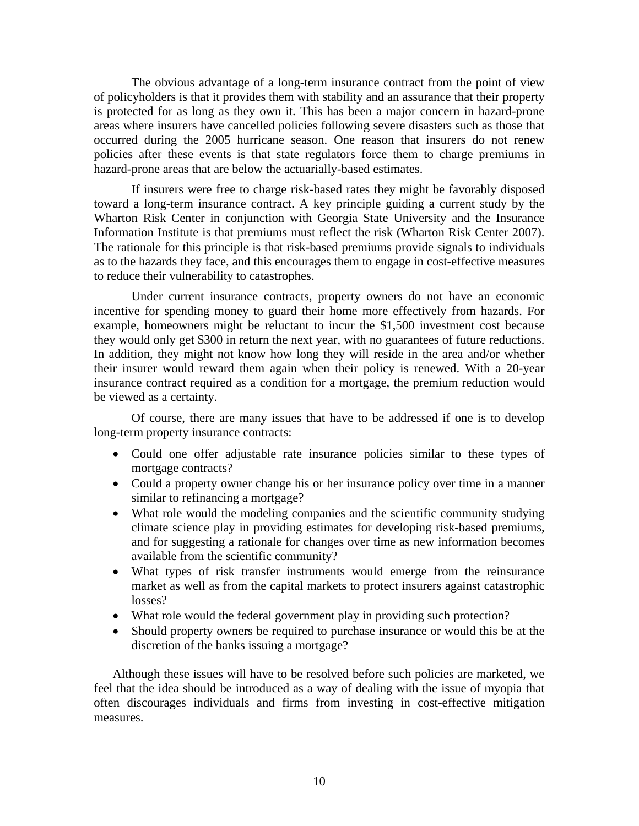The obvious advantage of a long-term insurance contract from the point of view of policyholders is that it provides them with stability and an assurance that their property is protected for as long as they own it. This has been a major concern in hazard-prone areas where insurers have cancelled policies following severe disasters such as those that occurred during the 2005 hurricane season. One reason that insurers do not renew policies after these events is that state regulators force them to charge premiums in hazard-prone areas that are below the actuarially-based estimates.

If insurers were free to charge risk-based rates they might be favorably disposed toward a long-term insurance contract. A key principle guiding a current study by the Wharton Risk Center in conjunction with Georgia State University and the Insurance Information Institute is that premiums must reflect the risk (Wharton Risk Center 2007). The rationale for this principle is that risk-based premiums provide signals to individuals as to the hazards they face, and this encourages them to engage in cost-effective measures to reduce their vulnerability to catastrophes.

Under current insurance contracts, property owners do not have an economic incentive for spending money to guard their home more effectively from hazards. For example, homeowners might be reluctant to incur the \$1,500 investment cost because they would only get \$300 in return the next year, with no guarantees of future reductions. In addition, they might not know how long they will reside in the area and/or whether their insurer would reward them again when their policy is renewed. With a 20-year insurance contract required as a condition for a mortgage, the premium reduction would be viewed as a certainty.

Of course, there are many issues that have to be addressed if one is to develop long-term property insurance contracts:

- Could one offer adjustable rate insurance policies similar to these types of mortgage contracts?
- Could a property owner change his or her insurance policy over time in a manner similar to refinancing a mortgage?
- What role would the modeling companies and the scientific community studying climate science play in providing estimates for developing risk-based premiums, and for suggesting a rationale for changes over time as new information becomes available from the scientific community?
- What types of risk transfer instruments would emerge from the reinsurance market as well as from the capital markets to protect insurers against catastrophic losses?
- What role would the federal government play in providing such protection?
- Should property owners be required to purchase insurance or would this be at the discretion of the banks issuing a mortgage?

Although these issues will have to be resolved before such policies are marketed, we feel that the idea should be introduced as a way of dealing with the issue of myopia that often discourages individuals and firms from investing in cost-effective mitigation measures.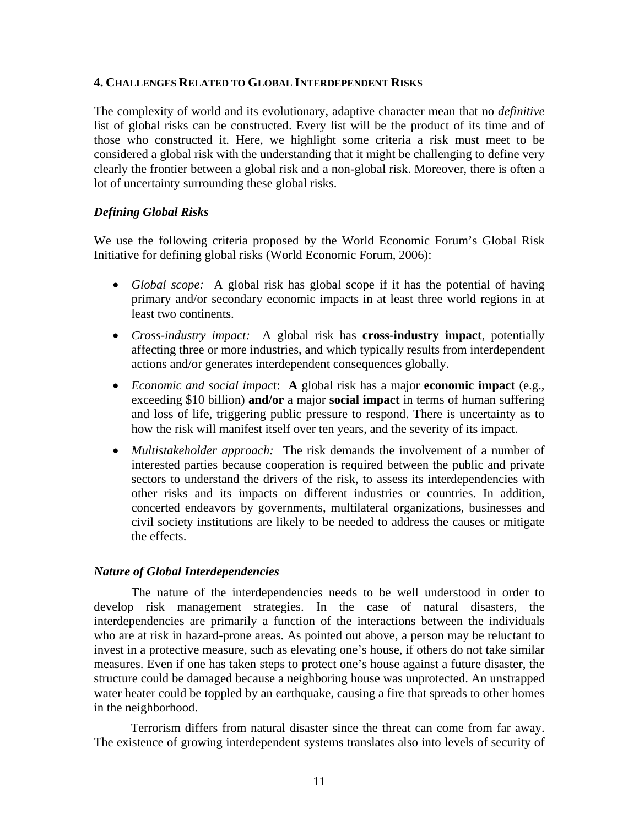## **4. CHALLENGES RELATED TO GLOBAL INTERDEPENDENT RISKS**

The complexity of world and its evolutionary, adaptive character mean that no *definitive*  list of global risks can be constructed. Every list will be the product of its time and of those who constructed it. Here, we highlight some criteria a risk must meet to be considered a global risk with the understanding that it might be challenging to define very clearly the frontier between a global risk and a non-global risk. Moreover, there is often a lot of uncertainty surrounding these global risks.

# *Defining Global Risks*

We use the following criteria proposed by the World Economic Forum's Global Risk Initiative for defining global risks (World Economic Forum, 2006):

- *Global scope:* A global risk has global scope if it has the potential of having primary and/or secondary economic impacts in at least three world regions in at least two continents.
- *Cross-industry impact:* A global risk has **cross-industry impact**, potentially affecting three or more industries, and which typically results from interdependent actions and/or generates interdependent consequences globally.
- *Economic and social impac*t: **A** global risk has a major **economic impact** (e.g., exceeding \$10 billion) **and/or** a major **social impact** in terms of human suffering and loss of life, triggering public pressure to respond. There is uncertainty as to how the risk will manifest itself over ten years, and the severity of its impact.
- *Multistakeholder approach:* The risk demands the involvement of a number of interested parties because cooperation is required between the public and private sectors to understand the drivers of the risk, to assess its interdependencies with other risks and its impacts on different industries or countries. In addition, concerted endeavors by governments, multilateral organizations, businesses and civil society institutions are likely to be needed to address the causes or mitigate the effects.

# *Nature of Global Interdependencies*

The nature of the interdependencies needs to be well understood in order to develop risk management strategies. In the case of natural disasters, the interdependencies are primarily a function of the interactions between the individuals who are at risk in hazard-prone areas. As pointed out above, a person may be reluctant to invest in a protective measure, such as elevating one's house, if others do not take similar measures. Even if one has taken steps to protect one's house against a future disaster, the structure could be damaged because a neighboring house was unprotected. An unstrapped water heater could be toppled by an earthquake, causing a fire that spreads to other homes in the neighborhood.

Terrorism differs from natural disaster since the threat can come from far away. The existence of growing interdependent systems translates also into levels of security of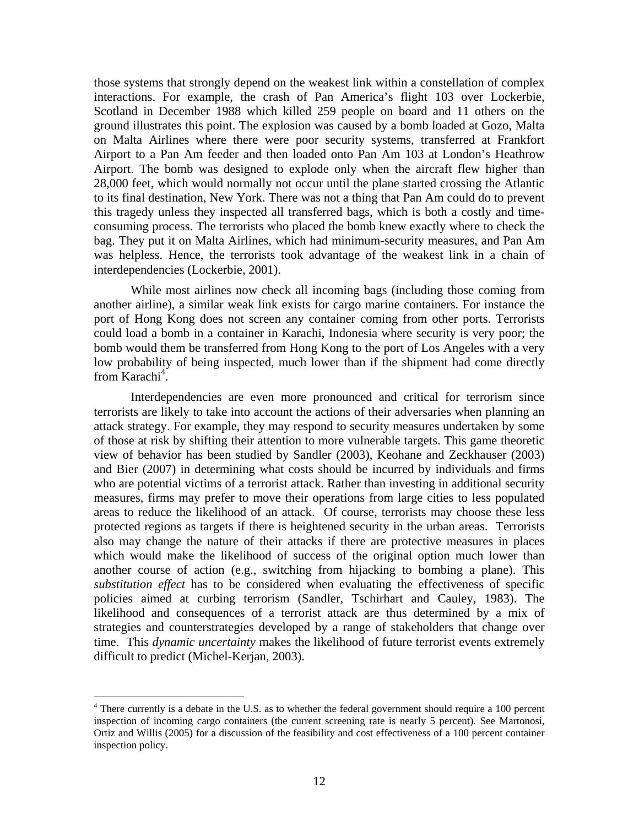those systems that strongly depend on the weakest link within a constellation of complex interactions. For example, the crash of Pan America's flight 103 over Lockerbie, Scotland in December 1988 which killed 259 people on board and 11 others on the ground illustrates this point. The explosion was caused by a bomb loaded at Gozo, Malta on Malta Airlines where there were poor security systems, transferred at Frankfort Airport to a Pan Am feeder and then loaded onto Pan Am 103 at London's Heathrow Airport. The bomb was designed to explode only when the aircraft flew higher than 28,000 feet, which would normally not occur until the plane started crossing the Atlantic to its final destination, New York. There was not a thing that Pan Am could do to prevent this tragedy unless they inspected all transferred bags, which is both a costly and timeconsuming process. The terrorists who placed the bomb knew exactly where to check the bag. They put it on Malta Airlines, which had minimum-security measures, and Pan Am was helpless. Hence, the terrorists took advantage of the weakest link in a chain of interdependencies (Lockerbie, 2001).

While most airlines now check all incoming bags (including those coming from another airline), a similar weak link exists for cargo marine containers. For instance the port of Hong Kong does not screen any container coming from other ports. Terrorists could load a bomb in a container in Karachi, Indonesia where security is very poor; the bomb would them be transferred from Hong Kong to the port of Los Angeles with a very low probability of being inspected, much lower than if the shipment had come directly from Karachi<sup>4</sup>.

Interdependencies are even more pronounced and critical for terrorism since terrorists are likely to take into account the actions of their adversaries when planning an attack strategy. For example, they may respond to security measures undertaken by some of those at risk by shifting their attention to more vulnerable targets. This game theoretic view of behavior has been studied by Sandler (2003), Keohane and Zeckhauser (2003) and Bier (2007) in determining what costs should be incurred by individuals and firms who are potential victims of a terrorist attack. Rather than investing in additional security measures, firms may prefer to move their operations from large cities to less populated areas to reduce the likelihood of an attack. Of course, terrorists may choose these less protected regions as targets if there is heightened security in the urban areas. Terrorists also may change the nature of their attacks if there are protective measures in places which would make the likelihood of success of the original option much lower than another course of action (e.g., switching from hijacking to bombing a plane). This *substitution effect* has to be considered when evaluating the effectiveness of specific policies aimed at curbing terrorism (Sandler, Tschirhart and Cauley, 1983). The likelihood and consequences of a terrorist attack are thus determined by a mix of strategies and counterstrategies developed by a range of stakeholders that change over time. This *dynamic uncertainty* makes the likelihood of future terrorist events extremely difficult to predict (Michel-Kerjan, 2003).

 $\overline{a}$ 

<sup>&</sup>lt;sup>4</sup> There currently is a debate in the U.S. as to whether the federal government should require a 100 percent inspection of incoming cargo containers (the current screening rate is nearly 5 percent). See Martonosi, Ortiz and Willis (2005) for a discussion of the feasibility and cost effectiveness of a 100 percent container inspection policy.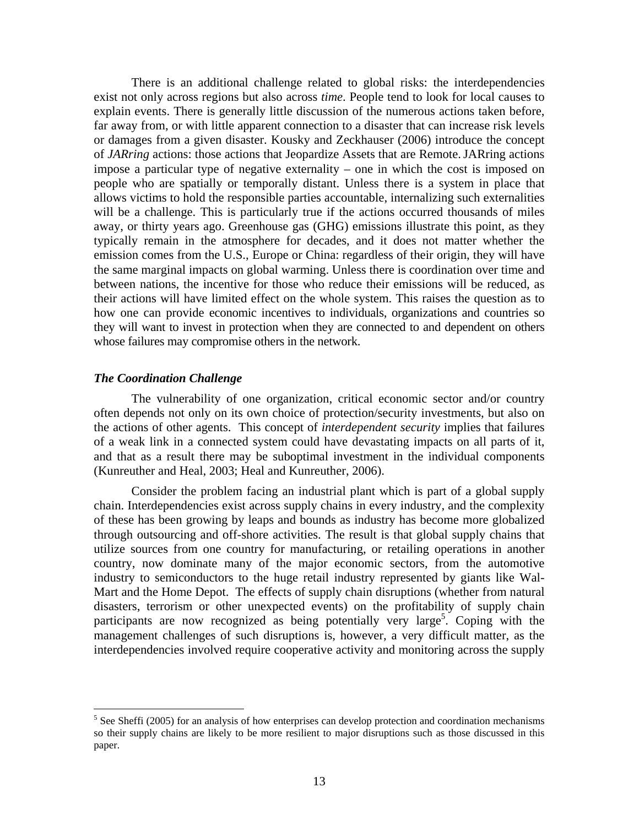There is an additional challenge related to global risks: the interdependencies exist not only across regions but also across *time*. People tend to look for local causes to explain events. There is generally little discussion of the numerous actions taken before, far away from, or with little apparent connection to a disaster that can increase risk levels or damages from a given disaster. Kousky and Zeckhauser (2006) introduce the concept of *JARring* actions: those actions that Jeopardize Assets that are Remote.JARring actions impose a particular type of negative externality – one in which the cost is imposed on people who are spatially or temporally distant. Unless there is a system in place that allows victims to hold the responsible parties accountable, internalizing such externalities will be a challenge. This is particularly true if the actions occurred thousands of miles away, or thirty years ago. Greenhouse gas (GHG) emissions illustrate this point, as they typically remain in the atmosphere for decades, and it does not matter whether the emission comes from the U.S., Europe or China: regardless of their origin, they will have the same marginal impacts on global warming. Unless there is coordination over time and between nations, the incentive for those who reduce their emissions will be reduced, as their actions will have limited effect on the whole system. This raises the question as to how one can provide economic incentives to individuals, organizations and countries so they will want to invest in protection when they are connected to and dependent on others whose failures may compromise others in the network.

## *The Coordination Challenge*

 $\overline{a}$ 

The vulnerability of one organization, critical economic sector and/or country often depends not only on its own choice of protection/security investments, but also on the actions of other agents. This concept of *interdependent security* implies that failures of a weak link in a connected system could have devastating impacts on all parts of it, and that as a result there may be suboptimal investment in the individual components (Kunreuther and Heal, 2003; Heal and Kunreuther, 2006).

 Consider the problem facing an industrial plant which is part of a global supply chain. Interdependencies exist across supply chains in every industry, and the complexity of these has been growing by leaps and bounds as industry has become more globalized through outsourcing and off-shore activities. The result is that global supply chains that utilize sources from one country for manufacturing, or retailing operations in another country, now dominate many of the major economic sectors, from the automotive industry to semiconductors to the huge retail industry represented by giants like Wal-Mart and the Home Depot. The effects of supply chain disruptions (whether from natural disasters, terrorism or other unexpected events) on the profitability of supply chain participants are now recognized as being potentially very large<sup>5</sup>. Coping with the management challenges of such disruptions is, however, a very difficult matter, as the interdependencies involved require cooperative activity and monitoring across the supply

 $<sup>5</sup>$  See Sheffi (2005) for an analysis of how enterprises can develop protection and coordination mechanisms</sup> so their supply chains are likely to be more resilient to major disruptions such as those discussed in this paper.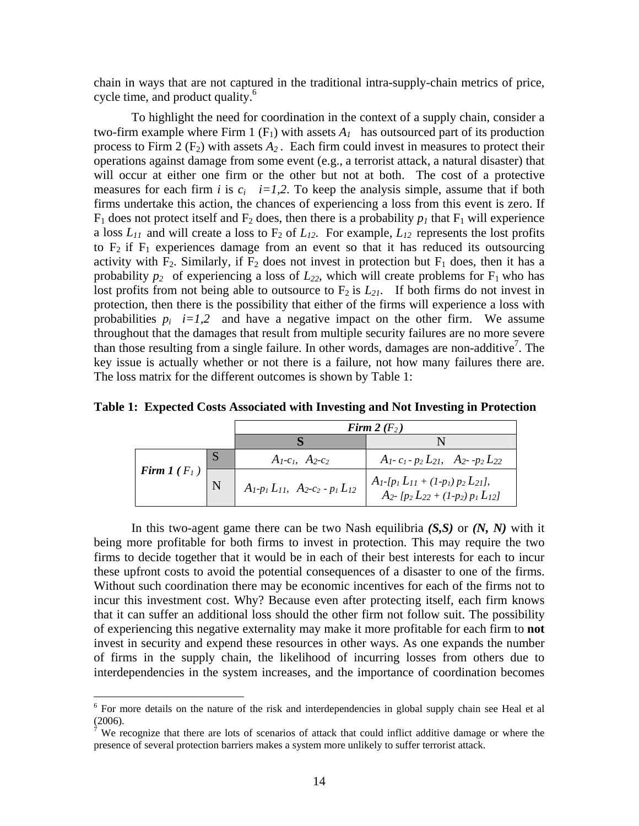chain in ways that are not captured in the traditional intra-supply-chain metrics of price, cycle time, and product quality.<sup>6</sup>

 To highlight the need for coordination in the context of a supply chain, consider a two-firm example where Firm 1  $(F_1)$  with assets  $A_1$  has outsourced part of its production process to Firm 2  $(F_2)$  with assets  $A_2$ . Each firm could invest in measures to protect their operations against damage from some event (e.g., a terrorist attack, a natural disaster) that will occur at either one firm or the other but not at both. The cost of a protective measures for each firm *i* is  $c_i$  *i*=1,2. To keep the analysis simple, assume that if both firms undertake this action, the chances of experiencing a loss from this event is zero. If  $F_1$  does not protect itself and  $F_2$  does, then there is a probability  $p_1$  that  $F_1$  will experience a loss  $L_{11}$  and will create a loss to  $F_2$  of  $L_{12}$ . For example,  $L_{12}$  represents the lost profits to  $F_2$  if  $F_1$  experiences damage from an event so that it has reduced its outsourcing activity with  $F_2$ . Similarly, if  $F_2$  does not invest in protection but  $F_1$  does, then it has a probability  $p_2$  of experiencing a loss of  $L_{22}$ , which will create problems for  $F_1$  who has lost profits from not being able to outsource to  $F_2$  is  $L_{21}$ . If both firms do not invest in protection, then there is the possibility that either of the firms will experience a loss with probabilities  $p_i$   $i=1,2$  and have a negative impact on the other firm. We assume throughout that the damages that result from multiple security failures are no more severe than those resulting from a single failure. In other words, damages are non-additive<sup>7</sup>. The key issue is actually whether or not there is a failure, not how many failures there are. The loss matrix for the different outcomes is shown by Table 1:

|               |  | Firm $2(F_2)$                         |                                                                                                                             |  |
|---------------|--|---------------------------------------|-----------------------------------------------------------------------------------------------------------------------------|--|
|               |  |                                       |                                                                                                                             |  |
|               |  | $A_1-c_1$ , $A_2-c_2$                 | $A_1$ - $c_1$ - $p_2 L_{21}$ , $A_2$ - $-p_2 L_{22}$                                                                        |  |
| Firm $I(F_1)$ |  | $A_1-p_1L_{11}$ , $A_2-c_2-p_1L_{12}$ | $\begin{array}{l}  A_{1} - \{p_1 L_{11} + (1-p_1) p_2 L_{21}\}, \\ A_{2} - \{p_2 L_{22} + (1-p_2) p_1 L_{12}\} \end{array}$ |  |

**Table 1: Expected Costs Associated with Investing and Not Investing in Protection**

 In this two-agent game there can be two Nash equilibria *(S,S)* or *(N, N)* with it being more profitable for both firms to invest in protection. This may require the two firms to decide together that it would be in each of their best interests for each to incur these upfront costs to avoid the potential consequences of a disaster to one of the firms. Without such coordination there may be economic incentives for each of the firms not to incur this investment cost. Why? Because even after protecting itself, each firm knows that it can suffer an additional loss should the other firm not follow suit. The possibility of experiencing this negative externality may make it more profitable for each firm to **not** invest in security and expend these resources in other ways. As one expands the number of firms in the supply chain, the likelihood of incurring losses from others due to interdependencies in the system increases, and the importance of coordination becomes

<u>.</u>

<sup>&</sup>lt;sup>6</sup> For more details on the nature of the risk and interdependencies in global supply chain see Heal et al (2006).<br><sup>7</sup> We recognize that there are lots of scenarios of attack that could inflict additive damage or where the

presence of several protection barriers makes a system more unlikely to suffer terrorist attack.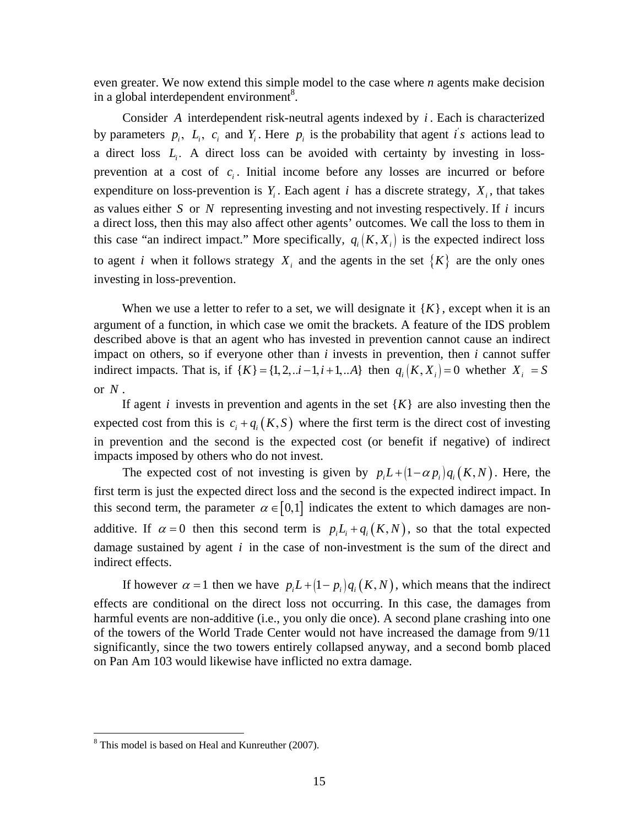even greater. We now extend this simple model to the case where *n* agents make decision in a global interdependent environment<sup>8</sup>.

Consider *A* interdependent risk-neutral agents indexed by *i* . Each is characterized by parameters  $p_i$ ,  $L_i$ ,  $c_i$  and  $Y_i$ . Here  $p_i$  is the probability that agent *i's* actions lead to a direct loss  $L_i$ . A direct loss can be avoided with certainty by investing in lossprevention at a cost of  $c_i$ . Initial income before any losses are incurred or before expenditure on loss-prevention is  $Y_i$ . Each agent *i* has a discrete strategy,  $X_i$ , that takes as values either *S* or *N* representing investing and not investing respectively. If *i* incurs a direct loss, then this may also affect other agents' outcomes. We call the loss to them in this case "an indirect impact." More specifically,  $q_i(K, X_i)$  is the expected indirect loss to agent *i* when it follows strategy  $X_i$  and the agents in the set  $\{K\}$  are the only ones investing in loss-prevention.

When we use a letter to refer to a set, we will designate it  $\{K\}$ , except when it is an argument of a function, in which case we omit the brackets. A feature of the IDS problem described above is that an agent who has invested in prevention cannot cause an indirect impact on others, so if everyone other than *i* invests in prevention, then *i* cannot suffer indirect impacts. That is, if  $\{K\} = \{1, 2, \ldots i-1, i+1, \ldots A\}$  then  $q_i(K, X_i) = 0$  whether  $X_i = S$ or *N* .

If agent *i* invests in prevention and agents in the set  $\{K\}$  are also investing then the expected cost from this is  $c_i + q_i(K, S)$  where the first term is the direct cost of investing in prevention and the second is the expected cost (or benefit if negative) of indirect impacts imposed by others who do not invest.

The expected cost of not investing is given by  $p_i L + (1 - \alpha p_i) q_i (K, N)$ . Here, the first term is just the expected direct loss and the second is the expected indirect impact. In this second term, the parameter  $\alpha \in [0,1]$  indicates the extent to which damages are nonadditive. If  $\alpha = 0$  then this second term is  $p_i L_i + q_i(K, N)$ , so that the total expected damage sustained by agent *i* in the case of non-investment is the sum of the direct and indirect effects.

If however  $\alpha = 1$  then we have  $p_i L + (1 - p_i) q_i(K, N)$ , which means that the indirect effects are conditional on the direct loss not occurring. In this case, the damages from harmful events are non-additive (i.e., you only die once). A second plane crashing into one of the towers of the World Trade Center would not have increased the damage from 9/11 significantly, since the two towers entirely collapsed anyway, and a second bomb placed on Pan Am 103 would likewise have inflicted no extra damage.

 $\overline{a}$ 

<sup>&</sup>lt;sup>8</sup> This model is based on Heal and Kunreuther (2007).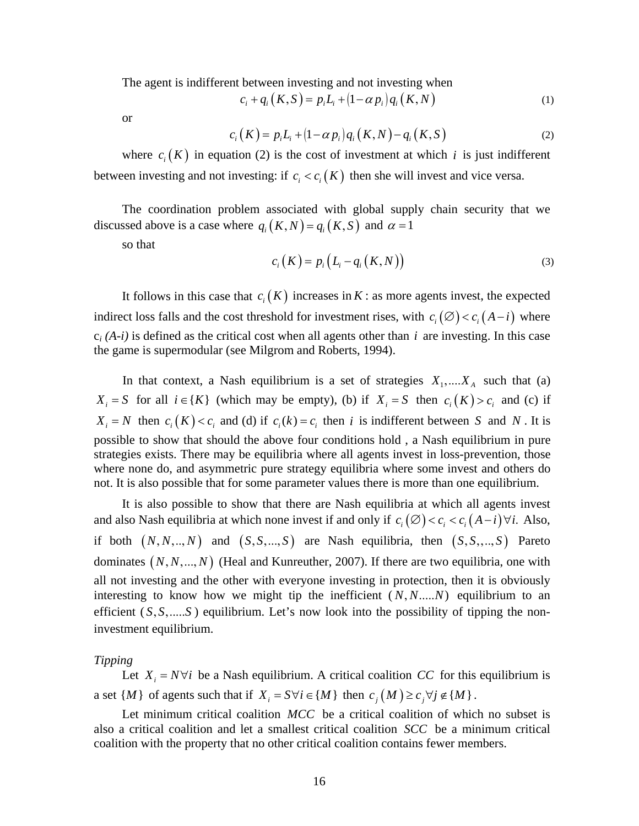The agent is indifferent between investing and not investing when

$$
c_i + q_i(K, S) = p_i L_i + (1 - \alpha p_i) q_i(K, N)
$$
 (1)

or

$$
c_i(K) = p_i L_i + (1 - \alpha p_i) q_i(K, N) - q_i(K, S)
$$
 (2)

where  $c_i(K)$  in equation (2) is the cost of investment at which *i* is just indifferent between investing and not investing: if  $c_i < c_i(K)$  then she will invest and vice versa.

The coordination problem associated with global supply chain security that we discussed above is a case where  $q_i(K, N) = q_i(K, S)$  and  $\alpha = 1$ 

so that

$$
c_i(K) = p_i(L_i - q_i(K, N))
$$
\n(3)

It follows in this case that  $c_i(K)$  increases in *K* : as more agents invest, the expected indirect loss falls and the cost threshold for investment rises, with  $c_i(\emptyset) < c_i(A - i)$  where  $c_i (A-i)$  is defined as the critical cost when all agents other than *i* are investing. In this case the game is supermodular (see Milgrom and Roberts, 1994).

In that context, a Nash equilibrium is a set of strategies  $X_1, \ldots, X_n$  such that (a)  $X_i = S$  for all  $i \in \{K\}$  (which may be empty), (b) if  $X_i = S$  then  $c_i(K) > c_i$  and (c) if  $X_i = N$  then  $c_i(K) < c_i$  and (d) if  $c_i(k) = c_i$  then *i* is indifferent between *S* and *N*. It is possible to show that should the above four conditions hold , a Nash equilibrium in pure strategies exists. There may be equilibria where all agents invest in loss-prevention, those where none do, and asymmetric pure strategy equilibria where some invest and others do not. It is also possible that for some parameter values there is more than one equilibrium.

It is also possible to show that there are Nash equilibria at which all agents invest and also Nash equilibria at which none invest if and only if  $c_i(\emptyset) < c_i < c_i(A - i)\forall i$ . Also, if both  $(N, N, ..., N)$  and  $(S, S, ..., S)$  are Nash equilibria, then  $(S, S, ..., S)$  Pareto dominates  $(N, N, ..., N)$  (Heal and Kunreuther, 2007). If there are two equilibria, one with all not investing and the other with everyone investing in protection, then it is obviously interesting to know how we might tip the inefficient  $(N, N, \dots, N)$  equilibrium to an efficient  $(S, S, \ldots, S)$  equilibrium. Let's now look into the possibility of tipping the noninvestment equilibrium.

### *Tipping*

Let  $X_i = N \forall i$  be a Nash equilibrium. A critical coalition *CC* for this equilibrium is a set  $\{M\}$  of agents such that if  $X_i = S \forall i \in \{M\}$  then  $c_i(M) \ge c_j \forall j \notin \{M\}$ .

Let minimum critical coalition *MCC* be a critical coalition of which no subset is also a critical coalition and let a smallest critical coalition *SCC* be a minimum critical coalition with the property that no other critical coalition contains fewer members.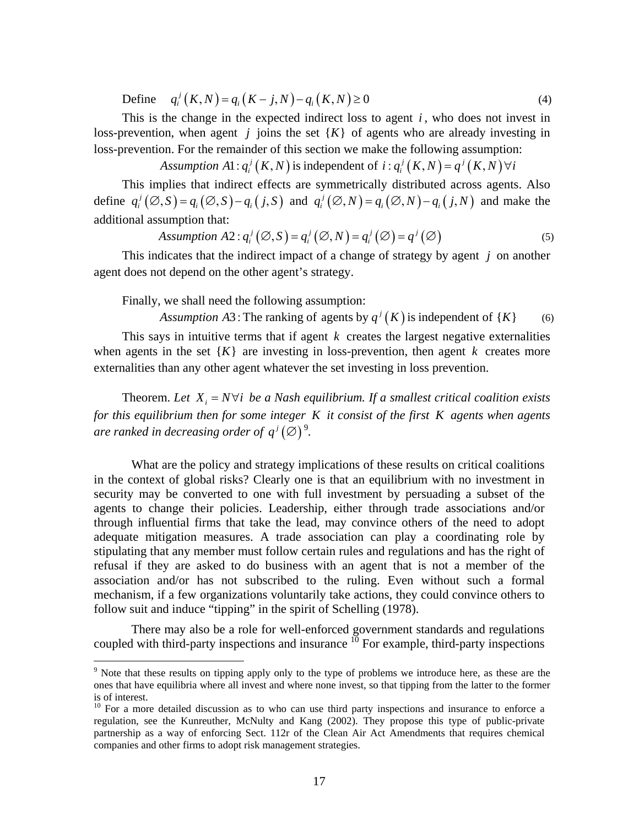Define 
$$
q_i^j(K, N) = q_i(K - j, N) - q_i(K, N) \ge 0
$$
 (4)

This is the change in the expected indirect loss to agent *i* , who does not invest in loss-prevention, when agent *j* joins the set  $\{K\}$  of agents who are already investing in loss-prevention. For the remainder of this section we make the following assumption:

Assumption A1:  $q_i^j(K, N)$  is independent of  $i : q_i^j(K, N) = q^j(K, N) \forall i$ 

This implies that indirect effects are symmetrically distributed across agents. Also define  $q_i^j(\emptyset, S) = q_i(\emptyset, S) - q_i(j, S)$  and  $q_i^j(\emptyset, N) = q_i(\emptyset, N) - q_i(j, N)$  and make the additional assumption that:

Assumption A2: 
$$
q_i^j(\emptyset, S) = q_i^j(\emptyset, N) = q_i^j(\emptyset) = q^j(\emptyset)
$$
 (5)

This indicates that the indirect impact of a change of strategy by agent *j* on another agent does not depend on the other agent's strategy.

Finally, we shall need the following assumption:

<u>.</u>

Assumption A3: The ranking of agents by  $q^{j}(K)$  is independent of  $\{K\}$  (6) This says in intuitive terms that if agent *k* creates the largest negative externalities when agents in the set  $\{K\}$  are investing in loss-prevention, then agent *k* creates more externalities than any other agent whatever the set investing in loss prevention.

Theorem. Let  $X_i = N \forall i$  be a Nash equilibrium. If a smallest critical coalition exists *for this equilibrium then for some integer K it consist of the first K agents when agents are ranked in decreasing order of*  $q^{j}(\varnothing)^{9}$ *.* 

What are the policy and strategy implications of these results on critical coalitions in the context of global risks? Clearly one is that an equilibrium with no investment in security may be converted to one with full investment by persuading a subset of the agents to change their policies. Leadership, either through trade associations and/or through influential firms that take the lead, may convince others of the need to adopt adequate mitigation measures. A trade association can play a coordinating role by stipulating that any member must follow certain rules and regulations and has the right of refusal if they are asked to do business with an agent that is not a member of the association and/or has not subscribed to the ruling. Even without such a formal mechanism, if a few organizations voluntarily take actions, they could convince others to follow suit and induce "tipping" in the spirit of Schelling (1978).

There may also be a role for well-enforced government standards and regulations coupled with third-party inspections and insurance  $10$  For example, third-party inspections

<sup>&</sup>lt;sup>9</sup> Note that these results on tipping apply only to the type of problems we introduce here, as these are the ones that have equilibria where all invest and where none invest, so that tipping from the latter to the former is of interest.

<sup>&</sup>lt;sup>10</sup> For a more detailed discussion as to who can use third party inspections and insurance to enforce a regulation, see the Kunreuther, McNulty and Kang (2002). They propose this type of public-private partnership as a way of enforcing Sect. 112r of the Clean Air Act Amendments that requires chemical companies and other firms to adopt risk management strategies.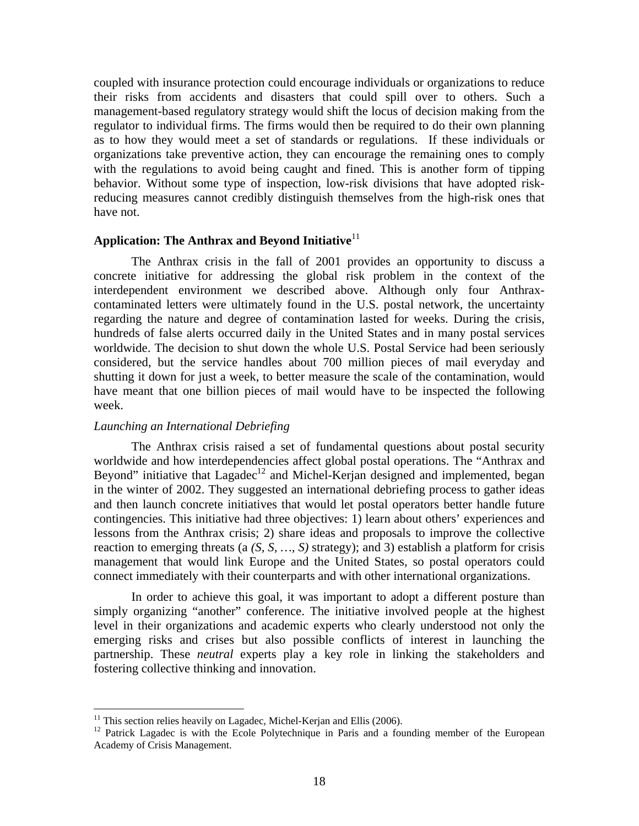coupled with insurance protection could encourage individuals or organizations to reduce their risks from accidents and disasters that could spill over to others. Such a management-based regulatory strategy would shift the locus of decision making from the regulator to individual firms. The firms would then be required to do their own planning as to how they would meet a set of standards or regulations. If these individuals or organizations take preventive action, they can encourage the remaining ones to comply with the regulations to avoid being caught and fined. This is another form of tipping behavior. Without some type of inspection, low-risk divisions that have adopted riskreducing measures cannot credibly distinguish themselves from the high-risk ones that have not.

### Application: The Anthrax and Beyond Initiative<sup>11</sup>

The Anthrax crisis in the fall of 2001 provides an opportunity to discuss a concrete initiative for addressing the global risk problem in the context of the interdependent environment we described above. Although only four Anthraxcontaminated letters were ultimately found in the U.S. postal network, the uncertainty regarding the nature and degree of contamination lasted for weeks. During the crisis, hundreds of false alerts occurred daily in the United States and in many postal services worldwide. The decision to shut down the whole U.S. Postal Service had been seriously considered, but the service handles about 700 million pieces of mail everyday and shutting it down for just a week, to better measure the scale of the contamination, would have meant that one billion pieces of mail would have to be inspected the following week.

## *Launching an International Debriefing*

1

The Anthrax crisis raised a set of fundamental questions about postal security worldwide and how interdependencies affect global postal operations. The "Anthrax and Beyond" initiative that Lagadec<sup>12</sup> and Michel-Kerjan designed and implemented, began in the winter of 2002. They suggested an international debriefing process to gather ideas and then launch concrete initiatives that would let postal operators better handle future contingencies. This initiative had three objectives: 1) learn about others' experiences and lessons from the Anthrax crisis; 2) share ideas and proposals to improve the collective reaction to emerging threats (a *(S, S, …, S)* strategy); and 3) establish a platform for crisis management that would link Europe and the United States, so postal operators could connect immediately with their counterparts and with other international organizations.

In order to achieve this goal, it was important to adopt a different posture than simply organizing "another" conference. The initiative involved people at the highest level in their organizations and academic experts who clearly understood not only the emerging risks and crises but also possible conflicts of interest in launching the partnership. These *neutral* experts play a key role in linking the stakeholders and fostering collective thinking and innovation.

 $11$  This section relies heavily on Lagadec, Michel-Kerjan and Ellis (2006).

<sup>&</sup>lt;sup>12</sup> Patrick Lagadec is with the Ecole Polytechnique in Paris and a founding member of the European Academy of Crisis Management.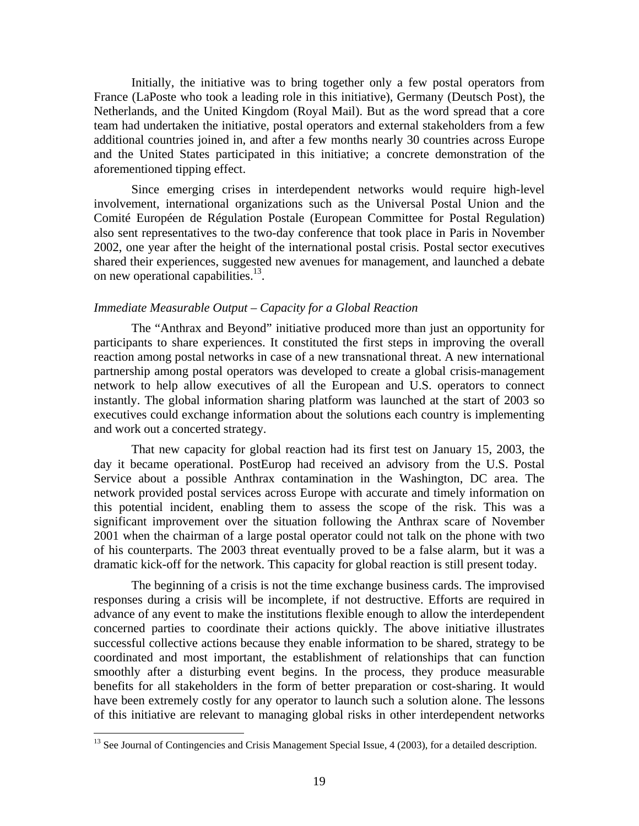Initially, the initiative was to bring together only a few postal operators from France (LaPoste who took a leading role in this initiative), Germany (Deutsch Post), the Netherlands, and the United Kingdom (Royal Mail). But as the word spread that a core team had undertaken the initiative, postal operators and external stakeholders from a few additional countries joined in, and after a few months nearly 30 countries across Europe and the United States participated in this initiative; a concrete demonstration of the aforementioned tipping effect.

Since emerging crises in interdependent networks would require high-level involvement, international organizations such as the Universal Postal Union and the Comité Européen de Régulation Postale (European Committee for Postal Regulation) also sent representatives to the two-day conference that took place in Paris in November 2002, one year after the height of the international postal crisis. Postal sector executives shared their experiences, suggested new avenues for management, and launched a debate on new operational capabilities.<sup>13</sup>.

### *Immediate Measurable Output – Capacity for a Global Reaction*

The "Anthrax and Beyond" initiative produced more than just an opportunity for participants to share experiences. It constituted the first steps in improving the overall reaction among postal networks in case of a new transnational threat. A new international partnership among postal operators was developed to create a global crisis-management network to help allow executives of all the European and U.S. operators to connect instantly. The global information sharing platform was launched at the start of 2003 so executives could exchange information about the solutions each country is implementing and work out a concerted strategy.

That new capacity for global reaction had its first test on January 15, 2003, the day it became operational. PostEurop had received an advisory from the U.S. Postal Service about a possible Anthrax contamination in the Washington, DC area. The network provided postal services across Europe with accurate and timely information on this potential incident, enabling them to assess the scope of the risk. This was a significant improvement over the situation following the Anthrax scare of November 2001 when the chairman of a large postal operator could not talk on the phone with two of his counterparts. The 2003 threat eventually proved to be a false alarm, but it was a dramatic kick-off for the network. This capacity for global reaction is still present today.

The beginning of a crisis is not the time exchange business cards. The improvised responses during a crisis will be incomplete, if not destructive. Efforts are required in advance of any event to make the institutions flexible enough to allow the interdependent concerned parties to coordinate their actions quickly. The above initiative illustrates successful collective actions because they enable information to be shared, strategy to be coordinated and most important, the establishment of relationships that can function smoothly after a disturbing event begins. In the process, they produce measurable benefits for all stakeholders in the form of better preparation or cost-sharing. It would have been extremely costly for any operator to launch such a solution alone. The lessons of this initiative are relevant to managing global risks in other interdependent networks

 $\overline{a}$ 

 $13$  See Journal of Contingencies and Crisis Management Special Issue, 4 (2003), for a detailed description.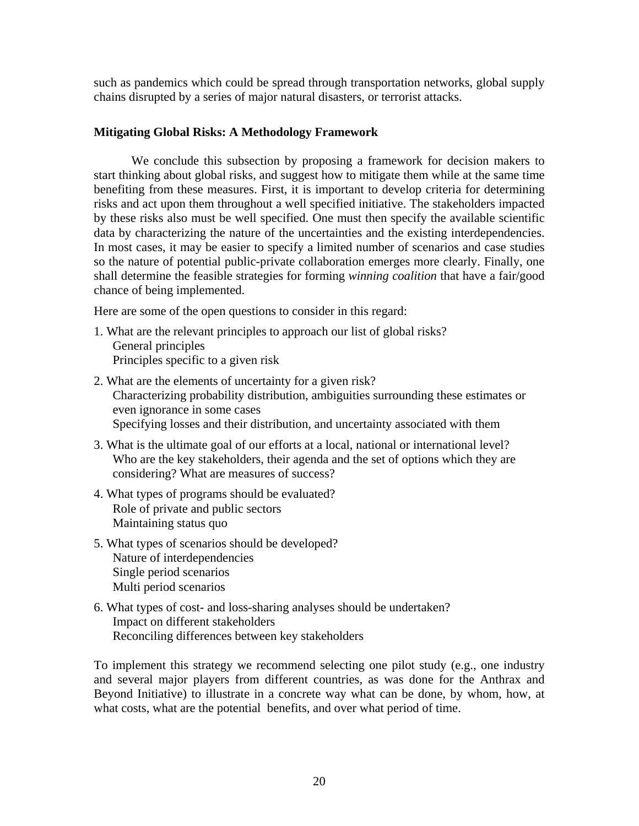such as pandemics which could be spread through transportation networks, global supply chains disrupted by a series of major natural disasters, or terrorist attacks.

# **Mitigating Global Risks: A Methodology Framework**

We conclude this subsection by proposing a framework for decision makers to start thinking about global risks, and suggest how to mitigate them while at the same time benefiting from these measures. First, it is important to develop criteria for determining risks and act upon them throughout a well specified initiative. The stakeholders impacted by these risks also must be well specified. One must then specify the available scientific data by characterizing the nature of the uncertainties and the existing interdependencies. In most cases, it may be easier to specify a limited number of scenarios and case studies so the nature of potential public-private collaboration emerges more clearly. Finally, one shall determine the feasible strategies for forming *winning coalition* that have a fair/good chance of being implemented.

Here are some of the open questions to consider in this regard:

- 1. What are the relevant principles to approach our list of global risks? General principles Principles specific to a given risk
- 2. What are the elements of uncertainty for a given risk? Characterizing probability distribution, ambiguities surrounding these estimates or even ignorance in some cases Specifying losses and their distribution, and uncertainty associated with them
- 3. What is the ultimate goal of our efforts at a local, national or international level? Who are the key stakeholders, their agenda and the set of options which they are considering? What are measures of success?
- 4. What types of programs should be evaluated? Role of private and public sectors Maintaining status quo
- 5. What types of scenarios should be developed? Nature of interdependencies Single period scenarios Multi period scenarios
- 6. What types of cost- and loss-sharing analyses should be undertaken? Impact on different stakeholders Reconciling differences between key stakeholders

To implement this strategy we recommend selecting one pilot study (e.g., one industry and several major players from different countries, as was done for the Anthrax and Beyond Initiative) to illustrate in a concrete way what can be done, by whom, how, at what costs, what are the potential benefits, and over what period of time.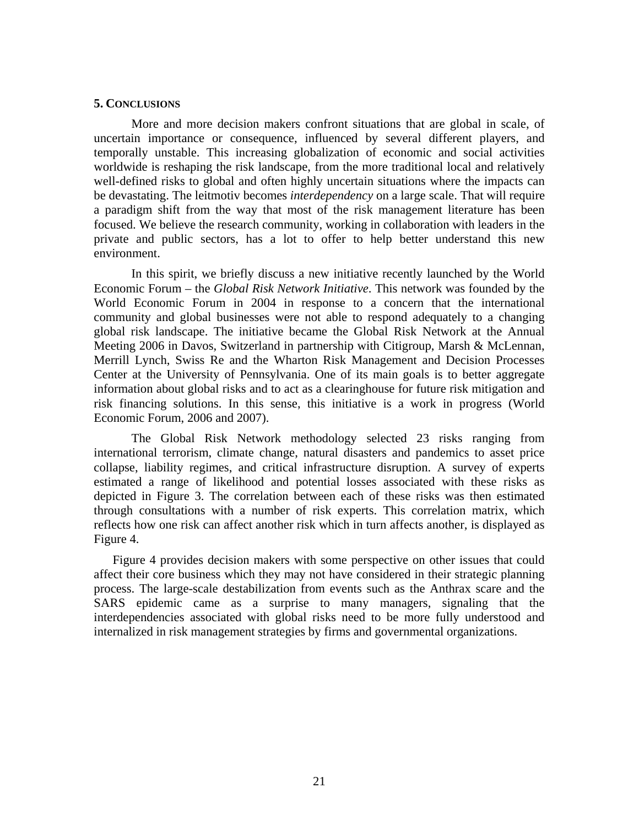### **5. CONCLUSIONS**

More and more decision makers confront situations that are global in scale, of uncertain importance or consequence, influenced by several different players, and temporally unstable. This increasing globalization of economic and social activities worldwide is reshaping the risk landscape, from the more traditional local and relatively well-defined risks to global and often highly uncertain situations where the impacts can be devastating. The leitmotiv becomes *interdependency* on a large scale. That will require a paradigm shift from the way that most of the risk management literature has been focused. We believe the research community, working in collaboration with leaders in the private and public sectors, has a lot to offer to help better understand this new environment.

In this spirit, we briefly discuss a new initiative recently launched by the World Economic Forum – the *Global Risk Network Initiative*. This network was founded by the World Economic Forum in 2004 in response to a concern that the international community and global businesses were not able to respond adequately to a changing global risk landscape. The initiative became the Global Risk Network at the Annual Meeting 2006 in Davos, Switzerland in partnership with Citigroup, Marsh & McLennan, Merrill Lynch, Swiss Re and the Wharton Risk Management and Decision Processes Center at the University of Pennsylvania. One of its main goals is to better aggregate information about global risks and to act as a clearinghouse for future risk mitigation and risk financing solutions. In this sense, this initiative is a work in progress (World Economic Forum, 2006 and 2007).

The Global Risk Network methodology selected 23 risks ranging from international terrorism, climate change, natural disasters and pandemics to asset price collapse, liability regimes, and critical infrastructure disruption. A survey of experts estimated a range of likelihood and potential losses associated with these risks as depicted in Figure 3. The correlation between each of these risks was then estimated through consultations with a number of risk experts. This correlation matrix, which reflects how one risk can affect another risk which in turn affects another, is displayed as Figure 4.

Figure 4 provides decision makers with some perspective on other issues that could affect their core business which they may not have considered in their strategic planning process. The large-scale destabilization from events such as the Anthrax scare and the SARS epidemic came as a surprise to many managers, signaling that the interdependencies associated with global risks need to be more fully understood and internalized in risk management strategies by firms and governmental organizations.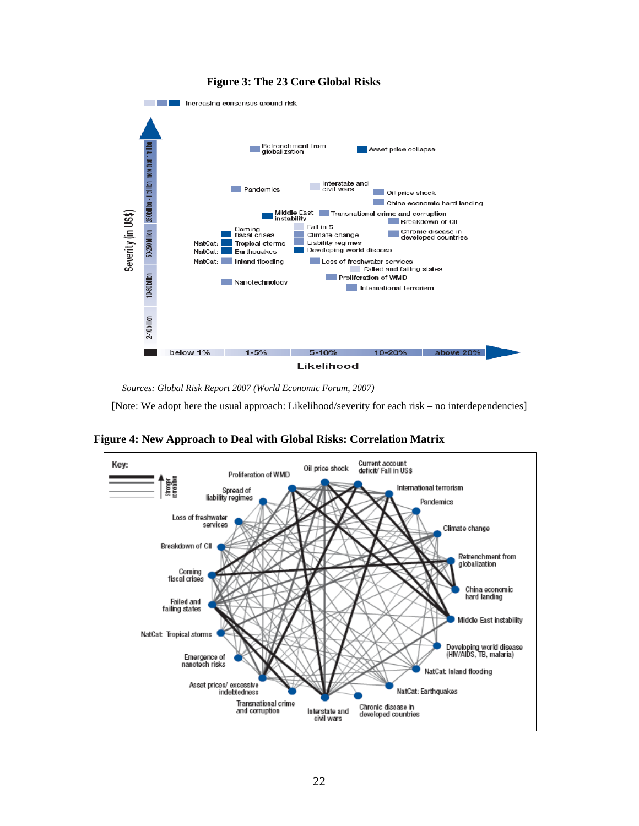

**Figure 3: The 23 Core Global Risks** 

 *Sources: Global Risk Report 2007 (World Economic Forum, 2007)* 

[Note: We adopt here the usual approach: Likelihood/severity for each risk – no interdependencies]



**Figure 4: New Approach to Deal with Global Risks: Correlation Matrix**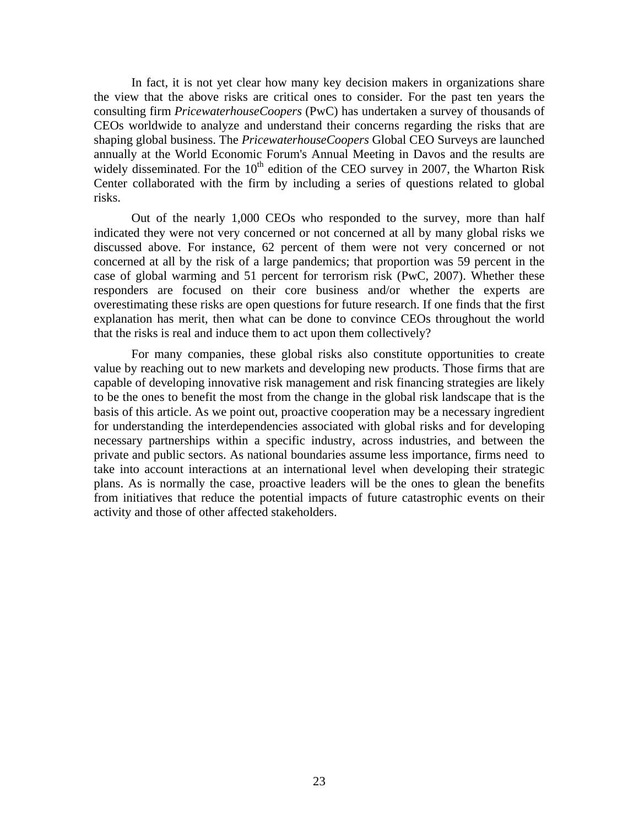In fact, it is not yet clear how many key decision makers in organizations share the view that the above risks are critical ones to consider. For the past ten years the consulting firm *PricewaterhouseCoopers* (PwC) has undertaken a survey of thousands of CEOs worldwide to analyze and understand their concerns regarding the risks that are shaping global business. The *PricewaterhouseCoopers* Global CEO Surveys are launched annually at the World Economic Forum's Annual Meeting in Davos and the results are widely disseminated. For the  $10<sup>th</sup>$  edition of the CEO survey in 2007, the Wharton Risk Center collaborated with the firm by including a series of questions related to global risks.

Out of the nearly 1,000 CEOs who responded to the survey, more than half indicated they were not very concerned or not concerned at all by many global risks we discussed above. For instance, 62 percent of them were not very concerned or not concerned at all by the risk of a large pandemics; that proportion was 59 percent in the case of global warming and 51 percent for terrorism risk (PwC, 2007). Whether these responders are focused on their core business and/or whether the experts are overestimating these risks are open questions for future research. If one finds that the first explanation has merit, then what can be done to convince CEOs throughout the world that the risks is real and induce them to act upon them collectively?

For many companies, these global risks also constitute opportunities to create value by reaching out to new markets and developing new products. Those firms that are capable of developing innovative risk management and risk financing strategies are likely to be the ones to benefit the most from the change in the global risk landscape that is the basis of this article. As we point out, proactive cooperation may be a necessary ingredient for understanding the interdependencies associated with global risks and for developing necessary partnerships within a specific industry, across industries, and between the private and public sectors. As national boundaries assume less importance, firms need to take into account interactions at an international level when developing their strategic plans. As is normally the case, proactive leaders will be the ones to glean the benefits from initiatives that reduce the potential impacts of future catastrophic events on their activity and those of other affected stakeholders.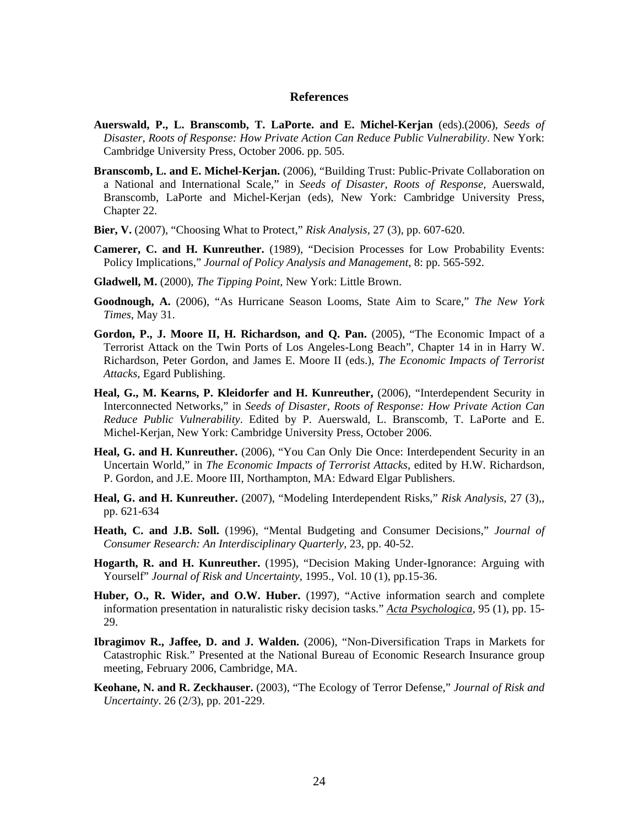### **References**

- **Auerswald, P., L. Branscomb, T. LaPorte. and E. Michel-Kerjan** (eds).(2006), *Seeds of Disaster, Roots of Response: How Private Action Can Reduce Public Vulnerability*. New York: Cambridge University Press, October 2006. pp. 505.
- **Branscomb, L. and E. Michel-Kerjan.** (2006), "Building Trust: Public-Private Collaboration on a National and International Scale," in *Seeds of Disaster, Roots of Response,* Auerswald, Branscomb, LaPorte and Michel-Kerjan (eds)*,* New York: Cambridge University Press, Chapter 22.
- **Bier, V.** (2007), "Choosing What to Protect," *Risk Analysis,* 27 (3), pp. 607-620.
- **Camerer, C. and H. Kunreuther.** (1989), "Decision Processes for Low Probability Events: Policy Implications," *Journal of Policy Analysis and Management*, 8: pp. 565-592.
- **Gladwell, M.** (2000), *The Tipping Point,* New York: Little Brown.
- **Goodnough, A.** (2006), "As Hurricane Season Looms, State Aim to Scare," *The New York Times*, May 31.
- **Gordon, P., J. Moore II, H. Richardson, and Q. Pan.** (2005), "The Economic Impact of a Terrorist Attack on the Twin Ports of Los Angeles-Long Beach", Chapter 14 in in Harry W. Richardson, Peter Gordon, and James E. Moore II (eds.), *The Economic Impacts of Terrorist Attacks*, Egard Publishing.
- **Heal, G., M. Kearns, P. Kleidorfer and H. Kunreuther,** (2006), "Interdependent Security in Interconnected Networks," in *Seeds of Disaster, Roots of Response: How Private Action Can Reduce Public Vulnerability*. Edited by P. Auerswald, L. Branscomb, T. LaPorte and E. Michel-Kerjan, New York: Cambridge University Press, October 2006.
- **Heal, G. and H. Kunreuther.** (2006), "You Can Only Die Once: Interdependent Security in an Uncertain World," in *The Economic Impacts of Terrorist Attacks*, edited by H.W. Richardson, P. Gordon, and J.E. Moore III, Northampton, MA: Edward Elgar Publishers.
- **Heal, G. and H. Kunreuther.** (2007), "Modeling Interdependent Risks," *Risk Analysis*, 27 (3),, pp. 621-634
- **Heath, C. and J.B. Soll.** (1996), "Mental Budgeting and Consumer Decisions," *Journal of Consumer Research: An Interdisciplinary Quarterly,* 23, pp. 40-52.
- **Hogarth, R. and H. Kunreuther.** (1995), "Decision Making Under-Ignorance: Arguing with Yourself" *Journal of Risk and Uncertainty*, 1995., Vol. 10 (1), pp.15-36.
- **Huber, O., R. Wider, and O.W. Huber.** (1997), "Active information search and complete information presentation in naturalistic risky decision tasks." *Acta Psychologica*, 95 (1), pp. 15- 29.
- **Ibragimov R., Jaffee, D. and J. Walden.** (2006), "Non-Diversification Traps in Markets for Catastrophic Risk." Presented at the National Bureau of Economic Research Insurance group meeting, February 2006, Cambridge, MA.
- **Keohane, N. and R. Zeckhauser.** (2003), "The Ecology of Terror Defense," *Journal of Risk and Uncertainty*. 26 (2/3), pp. 201-229.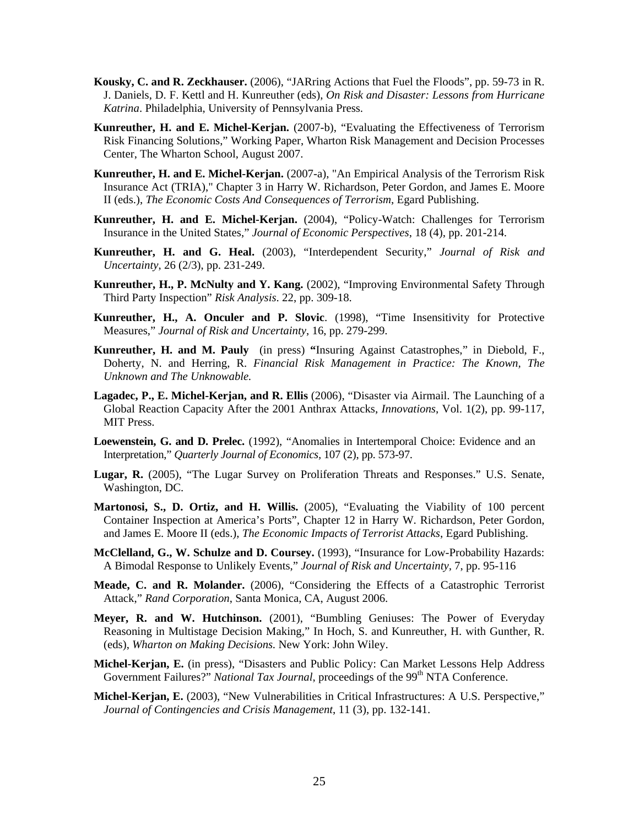- **Kousky, C. and R. Zeckhauser.** (2006), "JARring Actions that Fuel the Floods", pp. 59-73 in R. J. Daniels, D. F. Kettl and H. Kunreuther (eds), *On Risk and Disaster: Lessons from Hurricane Katrina*. Philadelphia, University of Pennsylvania Press.
- **Kunreuther, H. and E. Michel-Kerjan.** (2007-b), "Evaluating the Effectiveness of Terrorism Risk Financing Solutions," Working Paper, Wharton Risk Management and Decision Processes Center, The Wharton School, August 2007.
- **Kunreuther, H. and E. Michel-Kerjan.** (2007-a), "An Empirical Analysis of the Terrorism Risk Insurance Act (TRIA)," Chapter 3 in Harry W. Richardson, Peter Gordon, and James E. Moore II (eds.), *The Economic Costs And Consequences of Terrorism*, Egard Publishing.
- **Kunreuther, H. and E. Michel-Kerjan.** (2004), "Policy-Watch: Challenges for Terrorism Insurance in the United States," *Journal of Economic Perspectives*, 18 (4), pp. 201-214.
- **Kunreuther, H. and G. Heal.** (2003), "Interdependent Security," *Journal of Risk and Uncertainty*, 26 (2/3), pp. 231-249.
- **Kunreuther, H., P. McNulty and Y. Kang.** (2002), "Improving Environmental Safety Through Third Party Inspection" *Risk Analysis*. 22, pp. 309-18.
- **Kunreuther, H., A. Onculer and P. Slovic**. (1998), "Time Insensitivity for Protective Measures," *Journal of Risk and Uncertainty*, 16, pp. 279-299.
- **Kunreuther, H. and M. Pauly** (in press) **"**Insuring Against Catastrophes," in Diebold, F., Doherty, N. and Herring, R. *Financial Risk Management in Practice: The Known, The Unknown and The Unknowable.*
- **Lagadec, P., E. Michel-Kerjan, and R. Ellis** (2006), "Disaster via Airmail. The Launching of a Global Reaction Capacity After the 2001 Anthrax Attacks, *Innovations*, Vol. 1(2), pp. 99-117, MIT Press.
- **Loewenstein, G. and D. Prelec.** (1992), "Anomalies in Intertemporal Choice: Evidence and an Interpretation," *Quarterly Journal of Economics,* 107 (2), pp. 573-97.
- **Lugar, R.** (2005), "The Lugar Survey on Proliferation Threats and Responses." U.S. Senate, Washington, DC.
- **Martonosi, S., D. Ortiz, and H. Willis.** (2005), "Evaluating the Viability of 100 percent Container Inspection at America's Ports", Chapter 12 in Harry W. Richardson, Peter Gordon, and James E. Moore II (eds.), *The Economic Impacts of Terrorist Attacks*, Egard Publishing.
- **McClelland, G., W. Schulze and D. Coursey.** (1993), "Insurance for Low-Probability Hazards: A Bimodal Response to Unlikely Events," *Journal of Risk and Uncertainty,* 7, pp. 95-116
- **Meade, C. and R. Molander.** (2006), "Considering the Effects of a Catastrophic Terrorist Attack," *Rand Corporation*, Santa Monica, CA, August 2006.
- **Meyer, R. and W. Hutchinson.** (2001), "Bumbling Geniuses: The Power of Everyday Reasoning in Multistage Decision Making," In Hoch, S. and Kunreuther, H. with Gunther, R. (eds), *Wharton on Making Decisions.* New York: John Wiley.
- **Michel-Kerjan, E.** (in press), "Disasters and Public Policy: Can Market Lessons Help Address Government Failures?" *National Tax Journal*, proceedings of the 99<sup>th</sup> NTA Conference.
- **Michel-Kerjan, E.** (2003), "New Vulnerabilities in Critical Infrastructures: A U.S. Perspective," *Journal of Contingencies and Crisis Management*, 11 (3), pp. 132-141.